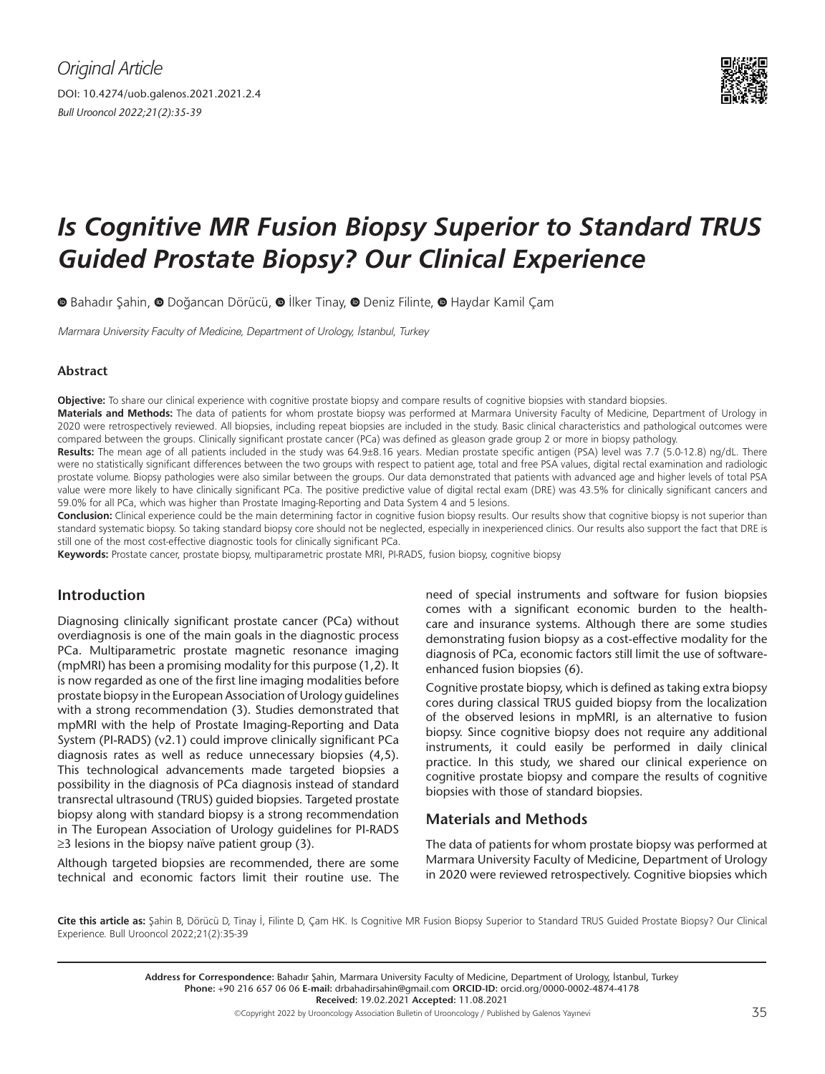

# *Is Cognitive MR Fusion Biopsy Superior to Standard TRUS Guided Prostate Biopsy? Our Clinical Experience*

**O**Bahadır Şahin, **O** Doğancan Dörücü, **O** İlker Tinay, **O** Deniz Filinte, **O** Haydar Kamil Çam

Marmara University Faculty of Medicine, Department of Urology, İstanbul, Turkey

# **Abstract**

**Objective:** To share our clinical experience with cognitive prostate biopsy and compare results of cognitive biopsies with standard biopsies.

**Materials and Methods:** The data of patients for whom prostate biopsy was performed at Marmara University Faculty of Medicine, Department of Urology in 2020 were retrospectively reviewed. All biopsies, including repeat biopsies are included in the study. Basic clinical characteristics and pathological outcomes were compared between the groups. Clinically significant prostate cancer (PCa) was defined as gleason grade group 2 or more in biopsy pathology.

**Results:** The mean age of all patients included in the study was 64.9±8.16 years. Median prostate specific antigen (PSA) level was 7.7 (5.0-12.8) ng/dL. There were no statistically significant differences between the two groups with respect to patient age, total and free PSA values, digital rectal examination and radiologic prostate volume. Biopsy pathologies were also similar between the groups. Our data demonstrated that patients with advanced age and higher levels of total PSA value were more likely to have clinically significant PCa. The positive predictive value of digital rectal exam (DRE) was 43.5% for clinically significant cancers and 59.0% for all PCa, which was higher than Prostate Imaging-Reporting and Data System 4 and 5 lesions.

**Conclusion:** Clinical experience could be the main determining factor in cognitive fusion biopsy results. Our results show that cognitive biopsy is not superior than standard systematic biopsy. So taking standard biopsy core should not be neglected, especially in inexperienced clinics. Our results also support the fact that DRE is still one of the most cost-effective diagnostic tools for clinically significant PCa.

**Keywords:** Prostate cancer, prostate biopsy, multiparametric prostate MRI, PI-RADS, fusion biopsy, cognitive biopsy

# **Introduction**

Diagnosing clinically significant prostate cancer (PCa) without overdiagnosis is one of the main goals in the diagnostic process PCa. Multiparametric prostate magnetic resonance imaging (mpMRI) has been a promising modality for this purpose (1,2). It is now regarded as one of the first line imaging modalities before prostate biopsy in the European Association of Urology guidelines with a strong recommendation (3). Studies demonstrated that mpMRI with the help of Prostate Imaging-Reporting and Data System (PI-RADS) (v2.1) could improve clinically significant PCa diagnosis rates as well as reduce unnecessary biopsies (4,5). This technological advancements made targeted biopsies a possibility in the diagnosis of PCa diagnosis instead of standard transrectal ultrasound (TRUS) guided biopsies. Targeted prostate biopsy along with standard biopsy is a strong recommendation in The European Association of Urology guidelines for PI-RADS ≥3 lesions in the biopsy naïve patient group (3).

Although targeted biopsies are recommended, there are some technical and economic factors limit their routine use. The

need of special instruments and software for fusion biopsies comes with a significant economic burden to the healthcare and insurance systems. Although there are some studies demonstrating fusion biopsy as a cost-effective modality for the diagnosis of PCa, economic factors still limit the use of softwareenhanced fusion biopsies (6).

Cognitive prostate biopsy, which is defined as taking extra biopsy cores during classical TRUS guided biopsy from the localization of the observed lesions in mpMRI, is an alternative to fusion biopsy. Since cognitive biopsy does not require any additional instruments, it could easily be performed in daily clinical practice. In this study, we shared our clinical experience on cognitive prostate biopsy and compare the results of cognitive biopsies with those of standard biopsies.

# **Materials and Methods**

The data of patients for whom prostate biopsy was performed at Marmara University Faculty of Medicine, Department of Urology in 2020 were reviewed retrospectively. Cognitive biopsies which

**Cite this article as:** Şahin B, Dörücü D, Tinay İ, Filinte D, Çam HK. Is Cognitive MR Fusion Biopsy Superior to Standard TRUS Guided Prostate Biopsy? Our Clinical Experience. Bull Urooncol 2022;21(2):35-39

> **Address for Correspondence:** Bahadır Şahin, Marmara University Faculty of Medicine, Department of Urology, İstanbul, Turkey **Phone:** +90 216 657 06 06 **E-mail:** drbahadirsahin@gmail.com **ORCID-ID:** orcid.org/0000-0002-4874-4178 **Received:** 19.02.2021 **Accepted:** 11.08.2021

> > ©Copyright 2022 by Urooncology Association Bulletin of Urooncology / Published by Galenos Yayınevi 35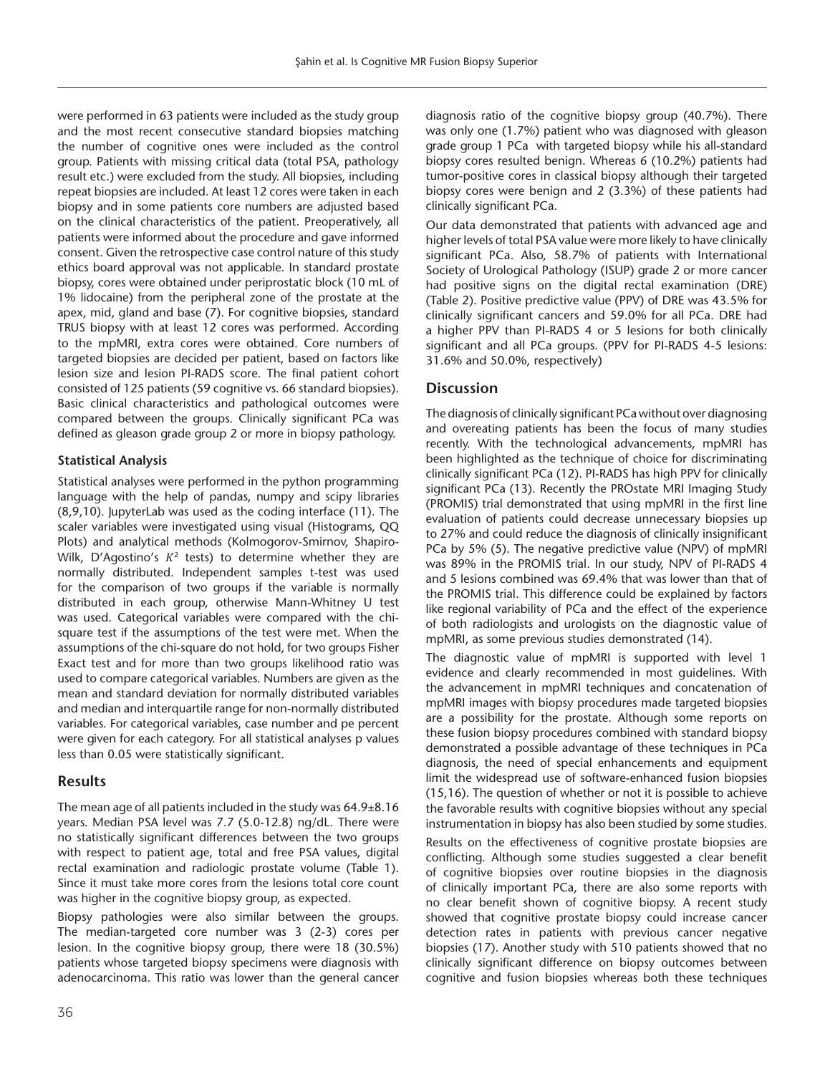were performed in 63 patients were included as the study group and the most recent consecutive standard biopsies matching the number of cognitive ones were included as the control group. Patients with missing critical data (total PSA, pathology result etc.) were excluded from the study. All biopsies, including repeat biopsies are included. At least 12 cores were taken in each biopsy and in some patients core numbers are adjusted based on the clinical characteristics of the patient. Preoperatively, all patients were informed about the procedure and gave informed consent. Given the retrospective case control nature of this study ethics board approval was not applicable. In standard prostate biopsy, cores were obtained under periprostatic block (10 mL of 1% lidocaine) from the peripheral zone of the prostate at the apex, mid, gland and base (7). For cognitive biopsies, standard TRUS biopsy with at least 12 cores was performed. According to the mpMRI, extra cores were obtained. Core numbers of targeted biopsies are decided per patient, based on factors like lesion size and lesion PI-RADS score. The final patient cohort consisted of 125 patients (59 cognitive vs. 66 standard biopsies). Basic clinical characteristics and pathological outcomes were compared between the groups. Clinically significant PCa was defined as gleason grade group 2 or more in biopsy pathology.

### **Statistical Analysis**

Statistical analyses were performed in the python programming language with the help of pandas, numpy and scipy libraries (8,9,10). JupyterLab was used as the coding interface (11). The scaler variables were investigated using visual (Histograms, QQ Plots) and analytical methods (Kolmogorov-Smirnov, Shapiro-Wilk, D'Agostino's  $K^2$  tests) to determine whether they are normally distributed. Independent samples t-test was used for the comparison of two groups if the variable is normally distributed in each group, otherwise Mann-Whitney U test was used. Categorical variables were compared with the chisquare test if the assumptions of the test were met. When the assumptions of the chi-square do not hold, for two groups Fisher Exact test and for more than two groups likelihood ratio was used to compare categorical variables. Numbers are given as the mean and standard deviation for normally distributed variables and median and interquartile range for non-normally distributed variables. For categorical variables, case number and pe percent were given for each category. For all statistical analyses p values less than 0.05 were statistically significant.

# **Results**

The mean age of all patients included in the study was 64.9±8.16 years. Median PSA level was 7.7 (5.0-12.8) ng/dL. There were no statistically significant differences between the two groups with respect to patient age, total and free PSA values, digital rectal examination and radiologic prostate volume (Table 1). Since it must take more cores from the lesions total core count was higher in the cognitive biopsy group, as expected.

Biopsy pathologies were also similar between the groups. The median-targeted core number was 3 (2-3) cores per lesion. In the cognitive biopsy group, there were 18 (30.5%) patients whose targeted biopsy specimens were diagnosis with adenocarcinoma. This ratio was lower than the general cancer diagnosis ratio of the cognitive biopsy group (40.7%). There was only one (1.7%) patient who was diagnosed with gleason grade group 1 PCa with targeted biopsy while his all-standard biopsy cores resulted benign. Whereas 6 (10.2%) patients had tumor-positive cores in classical biopsy although their targeted biopsy cores were benign and 2 (3.3%) of these patients had clinically significant PCa.

Our data demonstrated that patients with advanced age and higher levels of total PSA value were more likely to have clinically significant PCa. Also, 58.7% of patients with International Society of Urological Pathology (ISUP) grade 2 or more cancer had positive signs on the digital rectal examination (DRE) (Table 2). Positive predictive value (PPV) of DRE was 43.5% for clinically significant cancers and 59.0% for all PCa. DRE had a higher PPV than PI-RADS 4 or 5 lesions for both clinically significant and all PCa groups. (PPV for PI-RADS 4-5 lesions: 31.6% and 50.0%, respectively)

# **Discussion**

The diagnosis of clinically significant PCa without over diagnosing and overeating patients has been the focus of many studies recently. With the technological advancements, mpMRI has been highlighted as the technique of choice for discriminating clinically significant PCa (12). PI-RADS has high PPV for clinically significant PCa (13). Recently the PROstate MRI Imaging Study (PROMIS) trial demonstrated that using mpMRI in the first line evaluation of patients could decrease unnecessary biopsies up to 27% and could reduce the diagnosis of clinically insignificant PCa by 5% (5). The negative predictive value (NPV) of mpMRI was 89% in the PROMIS trial. In our study, NPV of PI-RADS 4 and 5 lesions combined was 69.4% that was lower than that of the PROMIS trial. This difference could be explained by factors like regional variability of PCa and the effect of the experience of both radiologists and urologists on the diagnostic value of mpMRI, as some previous studies demonstrated (14).

The diagnostic value of mpMRI is supported with level 1 evidence and clearly recommended in most guidelines. With the advancement in mpMRI techniques and concatenation of mpMRI images with biopsy procedures made targeted biopsies are a possibility for the prostate. Although some reports on these fusion biopsy procedures combined with standard biopsy demonstrated a possible advantage of these techniques in PCa diagnosis, the need of special enhancements and equipment limit the widespread use of software-enhanced fusion biopsies (15,16). The question of whether or not it is possible to achieve the favorable results with cognitive biopsies without any special instrumentation in biopsy has also been studied by some studies.

Results on the effectiveness of cognitive prostate biopsies are conflicting. Although some studies suggested a clear benefit of cognitive biopsies over routine biopsies in the diagnosis of clinically important PCa, there are also some reports with no clear benefit shown of cognitive biopsy. A recent study showed that cognitive prostate biopsy could increase cancer detection rates in patients with previous cancer negative biopsies (17). Another study with 510 patients showed that no clinically significant difference on biopsy outcomes between cognitive and fusion biopsies whereas both these techniques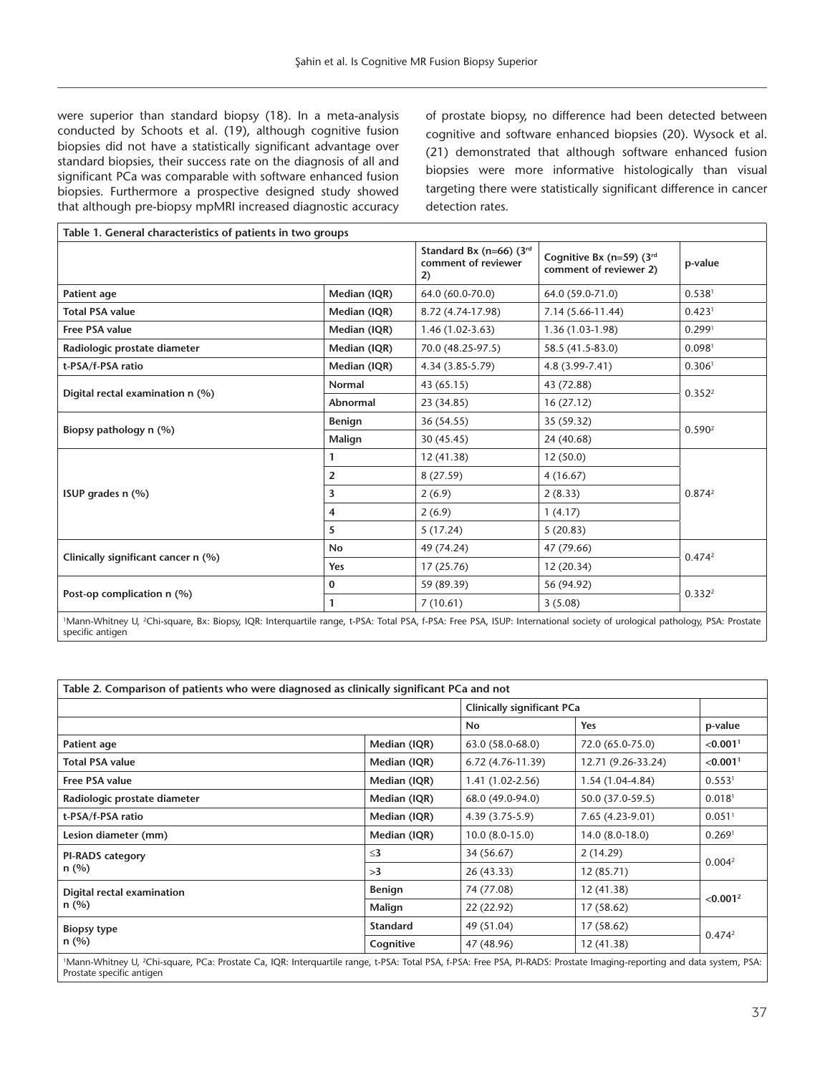were superior than standard biopsy (18). In a meta-analysis conducted by Schoots et al. (19), although cognitive fusion biopsies did not have a statistically significant advantage over standard biopsies, their success rate on the diagnosis of all and significant PCa was comparable with software enhanced fusion biopsies. Furthermore a prospective designed study showed that although pre-biopsy mpMRI increased diagnostic accuracy of prostate biopsy, no difference had been detected between cognitive and software enhanced biopsies (20). Wysock et al. (21) demonstrated that although software enhanced fusion biopsies were more informative histologically than visual targeting there were statistically significant difference in cancer detection rates.

| Table 1. General characteristics of patients in two groups |                |                                                      |                                                    |                    |  |  |  |
|------------------------------------------------------------|----------------|------------------------------------------------------|----------------------------------------------------|--------------------|--|--|--|
|                                                            |                | Standard Bx (n=66) (3rd<br>comment of reviewer<br>2) | Cognitive Bx (n=59) (3rd<br>comment of reviewer 2) | p-value            |  |  |  |
| Patient age                                                | Median (IQR)   | 64.0 (60.0-70.0)                                     | 64.0 (59.0-71.0)                                   | 0.538 <sup>1</sup> |  |  |  |
| <b>Total PSA value</b>                                     | Median (IQR)   | 8.72 (4.74-17.98)                                    | $7.14(5.66-11.44)$                                 | 0.423 <sup>1</sup> |  |  |  |
| <b>Free PSA value</b>                                      | Median (IQR)   | $1.46(1.02-3.63)$                                    | 1.36 (1.03-1.98)                                   | 0.2991             |  |  |  |
| Radiologic prostate diameter                               | Median (IQR)   | 70.0 (48.25-97.5)                                    | 58.5 (41.5-83.0)                                   | 0.0981             |  |  |  |
| t-PSA/f-PSA ratio                                          | Median (IQR)   | 4.34 (3.85-5.79)                                     | 4.8 (3.99-7.41)                                    | 0.306 <sup>1</sup> |  |  |  |
| Digital rectal examination n (%)                           | Normal         | 43 (65.15)                                           | 43 (72.88)                                         | 0.352 <sup>2</sup> |  |  |  |
|                                                            | Abnormal       | 23 (34.85)                                           | 16(27.12)                                          |                    |  |  |  |
| Biopsy pathology n (%)                                     | <b>Benign</b>  | 36 (54.55)                                           | 35 (59.32)                                         | 0.590 <sup>2</sup> |  |  |  |
|                                                            | Malign         | 30 (45.45)                                           | 24 (40.68)                                         |                    |  |  |  |
| ISUP grades n (%)                                          | 1              | 12 (41.38)                                           | 12(50.0)                                           | 0.874 <sup>2</sup> |  |  |  |
|                                                            | $\overline{2}$ | 8 (27.59)                                            | 4(16.67)                                           |                    |  |  |  |
|                                                            | 3              | 2(6.9)                                               | 2(8.33)                                            |                    |  |  |  |
|                                                            | 4              | 2(6.9)                                               | 1(4.17)                                            |                    |  |  |  |
|                                                            | 5              | 5(17.24)                                             | 5(20.83)                                           |                    |  |  |  |
| Clinically significant cancer n (%)                        | <b>No</b>      | 49 (74.24)                                           | 47 (79.66)                                         | 0.474 <sup>2</sup> |  |  |  |
|                                                            | Yes            | 17(25.76)                                            | 12 (20.34)                                         |                    |  |  |  |
| Post-op complication n (%)                                 | 0              | 59 (89.39)                                           | 56 (94.92)                                         | 0.332 <sup>2</sup> |  |  |  |
|                                                            | 1              | 7(10.61)                                             | 3(5.08)                                            |                    |  |  |  |

1 Mann-Whitney U, 2 Chi-square, Bx: Biopsy, IQR: Interquartile range, t-PSA: Total PSA, f-PSA: Free PSA, ISUP: International society of urological pathology, PSA: Prostate specific antigen

| Table 2. Comparison of patients who were diagnosed as clinically significant PCa and not                                                                                           |                                   |                   |                    |                        |  |  |
|------------------------------------------------------------------------------------------------------------------------------------------------------------------------------------|-----------------------------------|-------------------|--------------------|------------------------|--|--|
|                                                                                                                                                                                    | <b>Clinically significant PCa</b> |                   |                    |                        |  |  |
|                                                                                                                                                                                    |                                   | <b>No</b>         | Yes                | p-value                |  |  |
| Patient age                                                                                                                                                                        | Median (IQR)                      | 63.0 (58.0-68.0)  | 72.0 (65.0-75.0)   | $< 0.001$ <sup>1</sup> |  |  |
| <b>Total PSA value</b>                                                                                                                                                             | Median (IQR)                      | 6.72 (4.76-11.39) | 12.71 (9.26-33.24) | < 0.001 <sup>1</sup>   |  |  |
| Free PSA value                                                                                                                                                                     | Median (IQR)                      | $1.41(1.02-2.56)$ | 1.54 (1.04-4.84)   | 0.553 <sup>1</sup>     |  |  |
| Radiologic prostate diameter                                                                                                                                                       | Median (IQR)                      | 68.0 (49.0-94.0)  | 50.0 (37.0-59.5)   | $0.018$ <sup>1</sup>   |  |  |
| t-PSA/f-PSA ratio                                                                                                                                                                  | Median (IQR)                      | $4.39(3.75-5.9)$  | 7.65 (4.23-9.01)   | $0.051$ <sup>1</sup>   |  |  |
| Lesion diameter (mm)                                                                                                                                                               | Median (IQR)                      | $10.0(8.0-15.0)$  | $14.0(8.0-18.0)$   | 0.269 <sup>1</sup>     |  |  |
| <b>PI-RADS category</b>                                                                                                                                                            | $\leq$ 3                          | 34 (56.67)        | 2(14.29)           | 0.004 <sup>2</sup>     |  |  |
| $n$ (%)                                                                                                                                                                            | >3                                | 26 (43.33)        | 12 (85.71)         |                        |  |  |
| Digital rectal examination                                                                                                                                                         | <b>Benign</b>                     | 74 (77.08)        | 12 (41.38)         | < 0.001 <sup>2</sup>   |  |  |
| $n$ (%)                                                                                                                                                                            | Malign                            | 22 (22.92)        | 17 (58.62)         |                        |  |  |
| <b>Biopsy type</b>                                                                                                                                                                 | Standard                          | 49 (51.04)        | 17 (58.62)         | 0.474 <sup>2</sup>     |  |  |
| $n$ (%)                                                                                                                                                                            | Cognitive                         | 47 (48.96)        | 12 (41.38)         |                        |  |  |
| 1Mann-Whitney U, <sup>2</sup> Chi-square, PCa: Prostate Ca, IQR: Interquartile range, t-PSA: Total PSA, f-PSA: Free PSA, PI-RADS: Prostate Imaging-reporting and data system, PSA: |                                   |                   |                    |                        |  |  |

Prostate specific antigen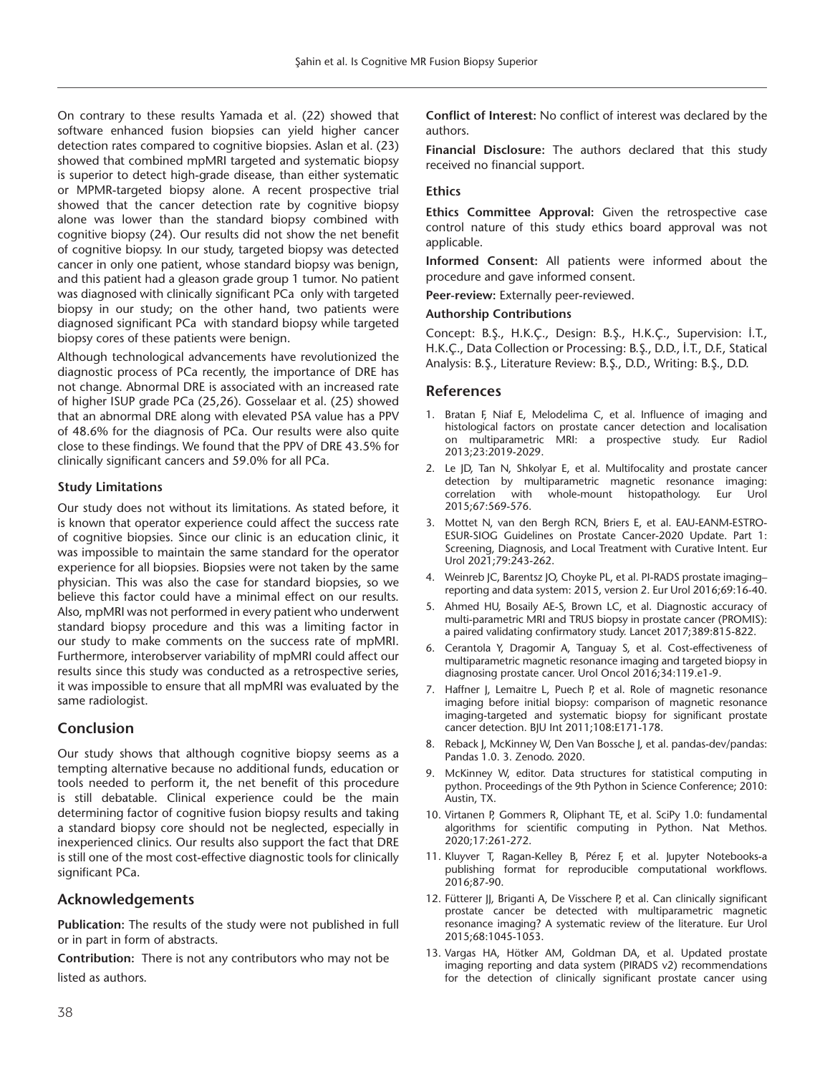On contrary to these results Yamada et al. (22) showed that software enhanced fusion biopsies can yield higher cancer detection rates compared to cognitive biopsies. Aslan et al. (23) showed that combined mpMRI targeted and systematic biopsy is superior to detect high-grade disease, than either systematic or MPMR-targeted biopsy alone. A recent prospective trial showed that the cancer detection rate by cognitive biopsy alone was lower than the standard biopsy combined with cognitive biopsy (24). Our results did not show the net benefit of cognitive biopsy. In our study, targeted biopsy was detected cancer in only one patient, whose standard biopsy was benign, and this patient had a gleason grade group 1 tumor. No patient was diagnosed with clinically significant PCa only with targeted biopsy in our study; on the other hand, two patients were diagnosed significant PCa with standard biopsy while targeted biopsy cores of these patients were benign.

Although technological advancements have revolutionized the diagnostic process of PCa recently, the importance of DRE has not change. Abnormal DRE is associated with an increased rate of higher ISUP grade PCa (25,26). Gosselaar et al. (25) showed that an abnormal DRE along with elevated PSA value has a PPV of 48.6% for the diagnosis of PCa. Our results were also quite close to these findings. We found that the PPV of DRE 43.5% for clinically significant cancers and 59.0% for all PCa.

#### **Study Limitations**

Our study does not without its limitations. As stated before, it is known that operator experience could affect the success rate of cognitive biopsies. Since our clinic is an education clinic, it was impossible to maintain the same standard for the operator experience for all biopsies. Biopsies were not taken by the same physician. This was also the case for standard biopsies, so we believe this factor could have a minimal effect on our results. Also, mpMRI was not performed in every patient who underwent standard biopsy procedure and this was a limiting factor in our study to make comments on the success rate of mpMRI. Furthermore, interobserver variability of mpMRI could affect our results since this study was conducted as a retrospective series, it was impossible to ensure that all mpMRI was evaluated by the same radiologist.

# **Conclusion**

Our study shows that although cognitive biopsy seems as a tempting alternative because no additional funds, education or tools needed to perform it, the net benefit of this procedure is still debatable. Clinical experience could be the main determining factor of cognitive fusion biopsy results and taking a standard biopsy core should not be neglected, especially in inexperienced clinics. Our results also support the fact that DRE is still one of the most cost-effective diagnostic tools for clinically significant PCa.

# **Acknowledgements**

**Publication:** The results of the study were not published in full or in part in form of abstracts.

**Contribution:** There is not any contributors who may not be listed as authors.

**Conflict of Interest:** No conflict of interest was declared by the authors.

**Financial Disclosure:** The authors declared that this study received no financial support.

#### **Ethics**

**Ethics Committee Approval:** Given the retrospective case control nature of this study ethics board approval was not applicable.

**Informed Consent:** All patients were informed about the procedure and gave informed consent.

**Peer-review:** Externally peer-reviewed.

#### **Authorship Contributions**

Concept: B.Ş., H.K.Ç., Design: B.Ş., H.K.Ç., Supervision: İ.T., H.K.Ç., Data Collection or Processing: B.Ş., D.D., İ.T., D.F., Statical Analysis: B.Ş., Literature Review: B.Ş., D.D., Writing: B.Ş., D.D.

#### **References**

- 1. Bratan F, Niaf E, Melodelima C, et al. Influence of imaging and histological factors on prostate cancer detection and localisation on multiparametric MRI: a prospective study. Eur Radiol 2013;23:2019-2029.
- 2. Le JD, Tan N, Shkolyar E, et al. Multifocality and prostate cancer detection by multiparametric magnetic resonance imaging: correlation with whole-mount histopathology. Eur Urol 2015;67:569-576.
- 3. Mottet N, van den Bergh RCN, Briers E, et al. EAU-EANM-ESTRO-ESUR-SIOG Guidelines on Prostate Cancer-2020 Update. Part 1: Screening, Diagnosis, and Local Treatment with Curative Intent. Eur Urol 2021;79:243-262.
- 4. Weinreb JC, Barentsz JO, Choyke PL, et al. PI-RADS prostate imaging– reporting and data system: 2015, version 2. Eur Urol 2016;69:16-40.
- 5. Ahmed HU, Bosaily AE-S, Brown LC, et al. Diagnostic accuracy of multi-parametric MRI and TRUS biopsy in prostate cancer (PROMIS): a paired validating confirmatory study. Lancet 2017;389:815-822.
- 6. Cerantola Y, Dragomir A, Tanguay S, et al. Cost-effectiveness of multiparametric magnetic resonance imaging and targeted biopsy in diagnosing prostate cancer. Urol Oncol 2016;34:119.e1-9.
- 7. Haffner J, Lemaitre L, Puech P, et al. Role of magnetic resonance imaging before initial biopsy: comparison of magnetic resonance imaging-targeted and systematic biopsy for significant prostate cancer detection. BJU Int 2011;108:E171-178.
- 8. Reback J, McKinney W, Den Van Bossche J, et al. pandas-dev/pandas: Pandas 1.0. 3. Zenodo. 2020.
- 9. McKinney W, editor. Data structures for statistical computing in python. Proceedings of the 9th Python in Science Conference; 2010: Austin, TX.
- 10. Virtanen P, Gommers R, Oliphant TE, et al. SciPy 1.0: fundamental algorithms for scientific computing in Python. Nat Methos. 2020;17:261-272.
- 11. Kluyver T, Ragan-Kelley B, Pérez F, et al. Jupyter Notebooks-a publishing format for reproducible computational workflows. 2016;87-90.
- 12. Fütterer JJ, Briganti A, De Visschere P, et al. Can clinically significant prostate cancer be detected with multiparametric magnetic resonance imaging? A systematic review of the literature. Eur Urol 2015;68:1045-1053.
- 13. Vargas HA, Hötker AM, Goldman DA, et al. Updated prostate imaging reporting and data system (PIRADS v2) recommendations for the detection of clinically significant prostate cancer using